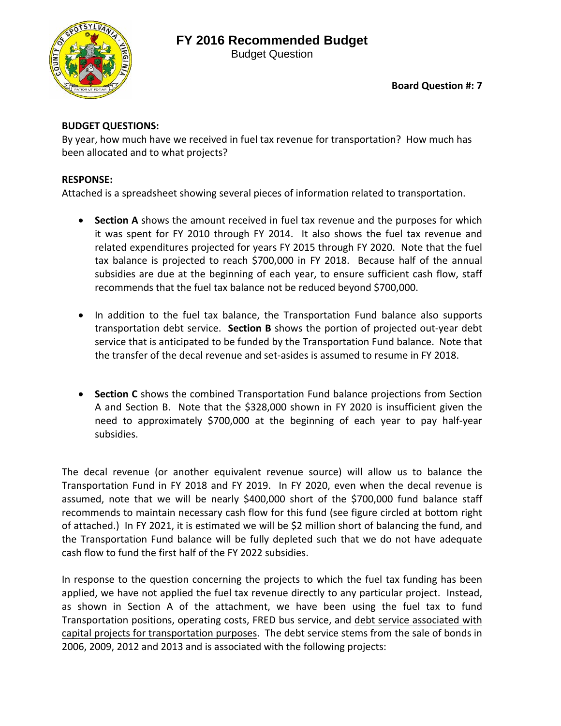# **FY 2016 Recommended Budget**



Budget Question

## **BUDGET QUESTIONS:**

By year, how much have we received in fuel tax revenue for transportation? How much has been allocated and to what projects?

## **RESPONSE:**

Attached is a spreadsheet showing several pieces of information related to transportation.

- **Section A** shows the amount received in fuel tax revenue and the purposes for which it was spent for FY 2010 through FY 2014. It also shows the fuel tax revenue and related expenditures projected for years FY 2015 through FY 2020. Note that the fuel tax balance is projected to reach \$700,000 in FY 2018. Because half of the annual subsidies are due at the beginning of each year, to ensure sufficient cash flow, staff recommends that the fuel tax balance not be reduced beyond \$700,000.
- In addition to the fuel tax balance, the Transportation Fund balance also supports transportation debt service. **Section B** shows the portion of projected out‐year debt service that is anticipated to be funded by the Transportation Fund balance. Note that the transfer of the decal revenue and set‐asides is assumed to resume in FY 2018.
- **Section C** shows the combined Transportation Fund balance projections from Section A and Section B. Note that the \$328,000 shown in FY 2020 is insufficient given the need to approximately \$700,000 at the beginning of each year to pay half‐year subsidies.

The decal revenue (or another equivalent revenue source) will allow us to balance the Transportation Fund in FY 2018 and FY 2019. In FY 2020, even when the decal revenue is assumed, note that we will be nearly \$400,000 short of the \$700,000 fund balance staff recommends to maintain necessary cash flow for this fund (see figure circled at bottom right of attached.) In FY 2021, it is estimated we will be \$2 million short of balancing the fund, and the Transportation Fund balance will be fully depleted such that we do not have adequate cash flow to fund the first half of the FY 2022 subsidies.

In response to the question concerning the projects to which the fuel tax funding has been applied, we have not applied the fuel tax revenue directly to any particular project. Instead, as shown in Section A of the attachment, we have been using the fuel tax to fund Transportation positions, operating costs, FRED bus service, and debt service associated with capital projects for transportation purposes. The debt service stems from the sale of bonds in 2006, 2009, 2012 and 2013 and is associated with the following projects: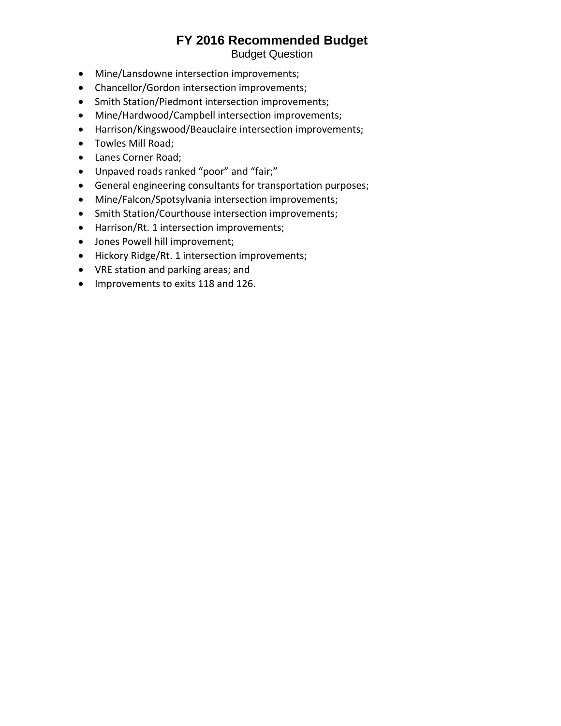## **FY 2016 Recommended Budget**

Budget Question

- Mine/Lansdowne intersection improvements;
- Chancellor/Gordon intersection improvements;
- Smith Station/Piedmont intersection improvements;
- Mine/Hardwood/Campbell intersection improvements;
- Harrison/Kingswood/Beauclaire intersection improvements;
- Towles Mill Road;
- Lanes Corner Road;
- Unpaved roads ranked "poor" and "fair;"
- General engineering consultants for transportation purposes;
- Mine/Falcon/Spotsylvania intersection improvements;
- Smith Station/Courthouse intersection improvements;
- Harrison/Rt. 1 intersection improvements;
- Jones Powell hill improvement;
- Hickory Ridge/Rt. 1 intersection improvements;
- VRE station and parking areas; and
- Improvements to exits 118 and 126.